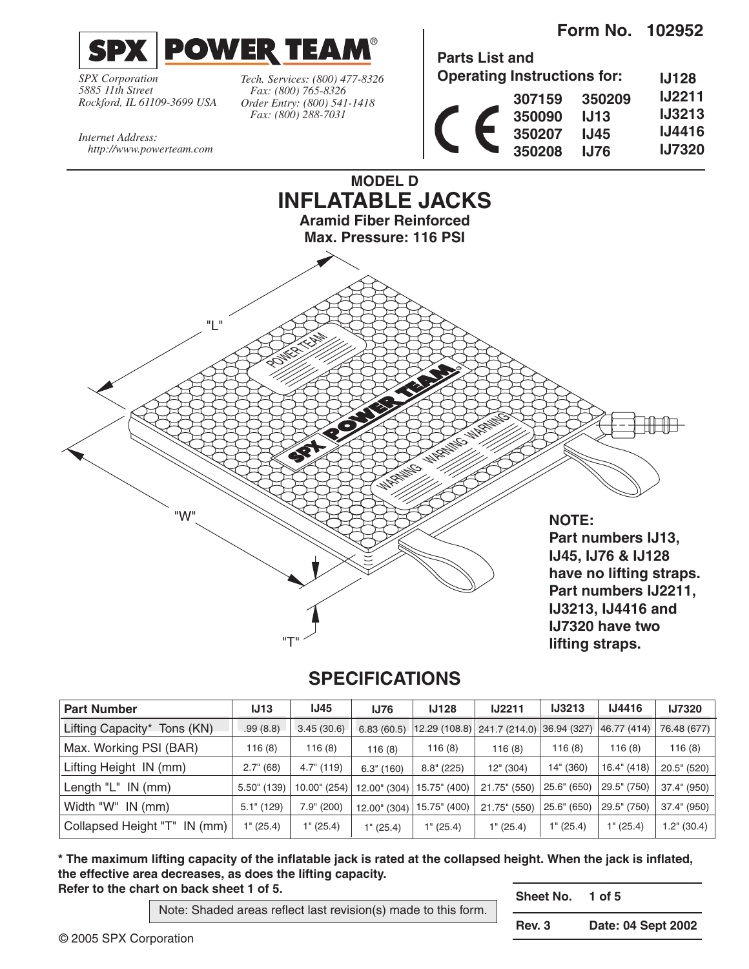**Form No. 102952**



*SPX Corporation 5885 11th Street Rockford, IL 61109-3699 USA* *Tech. Services: (800) 477-8326 Fax: (800) 765-8326 Order Entry: (800) 541-1418 Fax: (800) 288-7031*

| <b>Parts List and</b> |                                    |             |               |
|-----------------------|------------------------------------|-------------|---------------|
|                       | <b>Operating Instructions for:</b> |             | <b>IJ128</b>  |
|                       | 307159                             | 350209      | <b>IJ2211</b> |
|                       | 350090                             | J13         | <b>IJ3213</b> |
|                       | 350207                             | <b>IJ45</b> | <b>IJ4416</b> |
|                       | 350208                             | IJ76        | <b>IJ7320</b> |
|                       |                                    |             |               |

*Internet Address: http://www.powerteam.com*



## **SPECIFICATIONS**

| <b>Part Number</b>             | IJ13           | <b>IJ45</b>         | <b>IJ76</b>   | <b>IJ128</b>  | <b>IJ2211</b> | <b>IJ3213</b>      | <b>IJ4416</b> | <b>IJ7320</b>        |
|--------------------------------|----------------|---------------------|---------------|---------------|---------------|--------------------|---------------|----------------------|
| Lifting Capacity*<br>Tons (KN) | .99(8.8)       | 3.45(30.6)          | 6.83(60.5)    | 12.29 (108.8) | 241.7 (214.0) | 36.94 (327)        | 46.77 (414)   | 76.48 (677)          |
| Max. Working PSI (BAR)         | 116 (8)        | 116 (8)             | 116(8)        | 116(8)        | 116(8)        | 116(8)             | 116(8)        | 116(8)               |
| Lifting Height IN (mm)         | 2.7" (68)      | $4.7^{\circ}$ (119) | $6.3$ " (160) | $8.8$ " (225) | 12" (304)     | 14" (360)          | 16.4" (418)   | $20.5$ " (520)       |
| Length $'L$ IN (mm)            | $5.50$ " (139) | 10.00" (254)        | 12.00" (304)  | 15.75" (400)  | 21.75" (550)  | 25.6" (650)        | 29.5" (750)   | 37.4" (950)          |
| Width "W" IN (mm)              | $5.1$ " (129)  | 7.9" (200)          | 12.00" (304)  | 15.75" (400)  | 21.75" (550)  | 25.6" (650)        | 29.5" (750)   | 37.4" (950)          |
| Collapsed Height "T" IN (mm)   | 1" (25.4)      | 1" (25.4)           | 1" (25.4)     | 1" (25.4)     | 1" (25.4)     | $1^{\circ}$ (25.4) | 1" (25.4)     | $1.2^{\circ}$ (30.4) |

**\* The maximum lifting capacity of the inflatable jack is rated at the collapsed height. When the jack is inflated, the effective area decreases, as does the lifting capacity. Refer to the chart on back sheet 1 of 5.**

Note: Shaded areas reflect last revision(s) made to this form.

**Sheet No. 1 of 5**

© 2005 SPX Corporation

**Rev. 3 Date: 04 Sept 2002**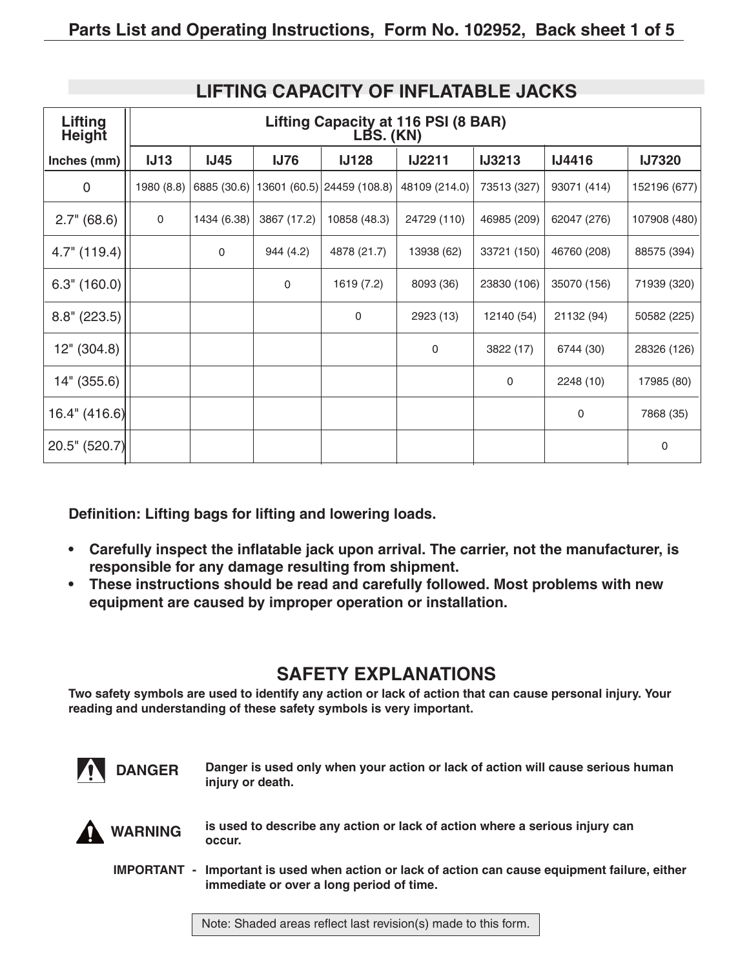| Lifting<br><b>Height</b> | Lifting Capacity at 116 PSI (8 BAR)<br>LBS. (KN) |               |             |                            |               |               |               |               |  |
|--------------------------|--------------------------------------------------|---------------|-------------|----------------------------|---------------|---------------|---------------|---------------|--|
| Inches (mm)              | <b>IJ13</b>                                      | <b>IJ45</b>   | <b>IJ76</b> | <b>IJ128</b>               | <b>IJ2211</b> | <b>IJ3213</b> | <b>IJ4416</b> | <b>IJ7320</b> |  |
| 0                        | 1980 (8.8)                                       | 6885 $(30.6)$ |             | 13601 (60.5) 24459 (108.8) | 48109 (214.0) | 73513 (327)   | 93071 (414)   | 152196 (677)  |  |
| 2.7" (68.6)              | 0                                                | 1434 (6.38)   | 3867 (17.2) | 10858 (48.3)               | 24729 (110)   | 46985 (209)   | 62047 (276)   | 107908 (480)  |  |
| $4.7"$ (119.4)           |                                                  | 0             | 944 (4.2)   | 4878 (21.7)                | 13938 (62)    | 33721 (150)   | 46760 (208)   | 88575 (394)   |  |
| 6.3" (160.0)             |                                                  |               | 0           | 1619 (7.2)                 | 8093 (36)     | 23830 (106)   | 35070 (156)   | 71939 (320)   |  |
| $8.8$ " (223.5)          |                                                  |               |             | $\mathbf 0$                | 2923 (13)     | 12140 (54)    | 21132 (94)    | 50582 (225)   |  |
| 12" (304.8)              |                                                  |               |             |                            | 0             | 3822 (17)     | 6744 (30)     | 28326 (126)   |  |
| 14" (355.6)              |                                                  |               |             |                            |               | 0             | 2248 (10)     | 17985 (80)    |  |
| 16.4" (416.6)            |                                                  |               |             |                            |               |               | 0             | 7868 (35)     |  |
| 20.5" (520.7)            |                                                  |               |             |                            |               |               |               | 0             |  |

### **LIFTING CAPACITY OF INFLATABLE JACKS**

**Definition: Lifting bags for lifting and lowering loads.**

- **Carefully inspect the inflatable jack upon arrival. The carrier, not the manufacturer, is responsible for any damage resulting from shipment.**
- **These instructions should be read and carefully followed. Most problems with new equipment are caused by improper operation or installation.**

# **SAFETY EXPLANATIONS**

**Two safety symbols are used to identify any action or lack of action that can cause personal injury. Your reading and understanding of these safety symbols is very important.**



**Danger is used only when your action or lack of action will cause serious human injury or death.**



**is used to describe any action or lack of action where a serious injury can occur.**

**IMPORTANT - Important is used when action or lack of action can cause equipment failure, either immediate or over a long period of time.**

Note: Shaded areas reflect last revision(s) made to this form.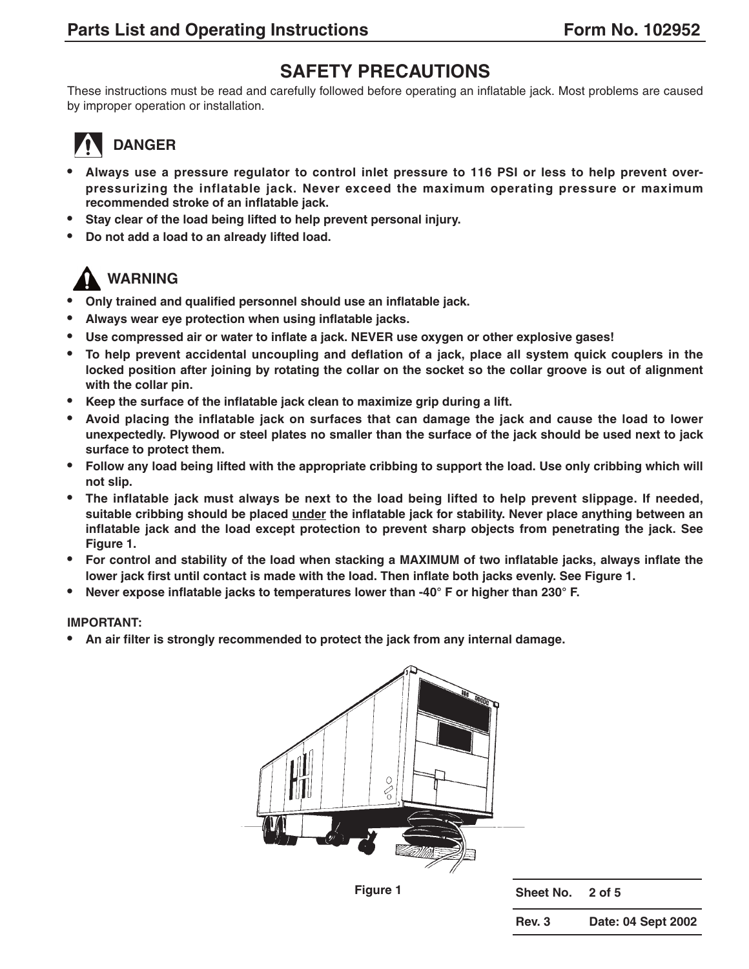## **SAFETY PRECAUTIONS**

These instructions must be read and carefully followed before operating an inflatable jack. Most problems are caused by improper operation or installation.

# **DANGER**

- **• Always use a pressure regulator to control inlet pressure to 116 PSI or less to help prevent overpressurizing the inflatable jack. Never exceed the maximum operating pressure or maximum recommended stroke of an inflatable jack.**
- **• Stay clear of the load being lifted to help prevent personal injury.**
- **• Do not add a load to an already lifted load.**

# **WARNING**

- **• Only trained and qualified personnel should use an inflatable jack.**
- **• Always wear eye protection when using inflatable jacks.**
- **• Use compressed air or water to inflate a jack. NEVER use oxygen or other explosive gases!**
- **• To help prevent accidental uncoupling and deflation of a jack, place all system quick couplers in the locked position after joining by rotating the collar on the socket so the collar groove is out of alignment with the collar pin.**
- **• Keep the surface of the inflatable jack clean to maximize grip during a lift.**
- **• Avoid placing the inflatable jack on surfaces that can damage the jack and cause the load to lower unexpectedly. Plywood or steel plates no smaller than the surface of the jack should be used next to jack surface to protect them.**
- **• Follow any load being lifted with the appropriate cribbing to support the load. Use only cribbing which will not slip.**
- **• The inflatable jack must always be next to the load being lifted to help prevent slippage. If needed, suitable cribbing should be placed under the inflatable jack for stability. Never place anything between an inflatable jack and the load except protection to prevent sharp objects from penetrating the jack. See Figure 1.**
- **• For control and stability of the load when stacking a MAXIMUM of two inflatable jacks, always inflate the lower jack first until contact is made with the load. Then inflate both jacks evenly. See Figure 1.**
- **• Never expose inflatable jacks to temperatures lower than -40° F or higher than 230° F.**

#### **IMPORTANT:**

**• An air filter is strongly recommended to protect the jack from any internal damage.**



**Figure 1 Sheet No. 2 of 5**

**Rev. 3 Date: 04 Sept 2002**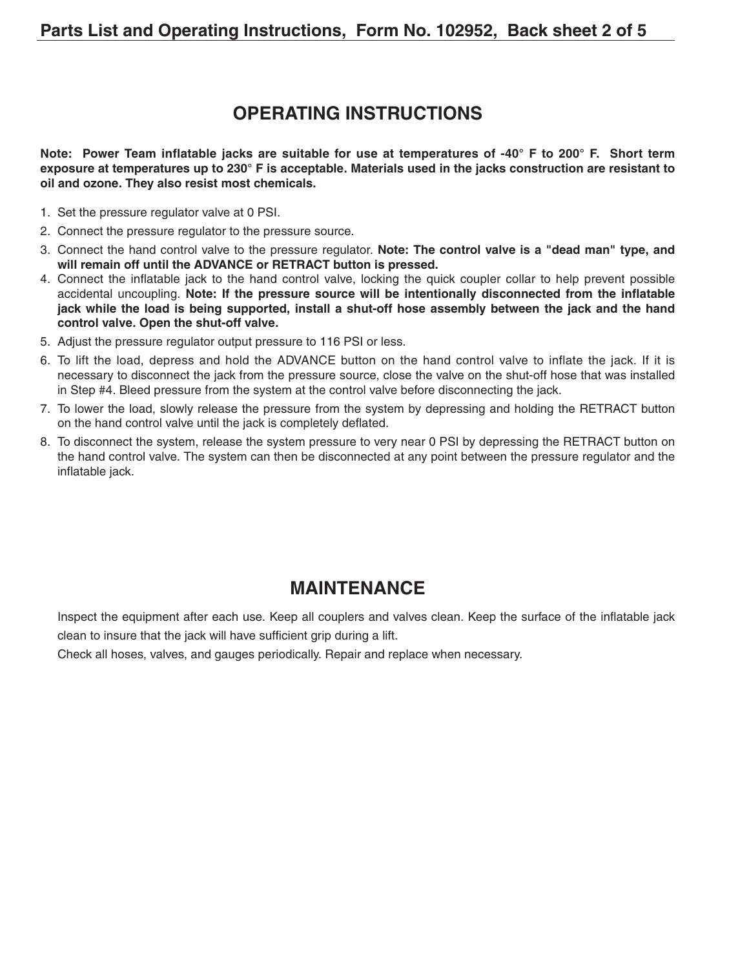### **OPERATING INSTRUCTIONS**

**Note: Power Team inflatable jacks are suitable for use at temperatures of -40° F to 200° F. Short term exposure at temperatures up to 230° F is acceptable. Materials used in the jacks construction are resistant to oil and ozone. They also resist most chemicals.**

- 1. Set the pressure regulator valve at 0 PSI.
- 2. Connect the pressure regulator to the pressure source.
- 3. Connect the hand control valve to the pressure regulator. **Note: The control valve is a "dead man" type, and will remain off until the ADVANCE or RETRACT button is pressed.**
- 4. Connect the inflatable jack to the hand control valve, locking the quick coupler collar to help prevent possible accidental uncoupling. **Note: If the pressure source will be intentionally disconnected from the inflatable jack while the load is being supported, install a shut-off hose assembly between the jack and the hand control valve. Open the shut-off valve.**
- 5. Adjust the pressure regulator output pressure to 116 PSI or less.
- 6. To lift the load, depress and hold the ADVANCE button on the hand control valve to inflate the jack. If it is necessary to disconnect the jack from the pressure source, close the valve on the shut-off hose that was installed in Step #4. Bleed pressure from the system at the control valve before disconnecting the jack.
- 7. To lower the load, slowly release the pressure from the system by depressing and holding the RETRACT button on the hand control valve until the jack is completely deflated.
- 8. To disconnect the system, release the system pressure to very near 0 PSI by depressing the RETRACT button on the hand control valve. The system can then be disconnected at any point between the pressure regulator and the inflatable jack.

### **MAINTENANCE**

Inspect the equipment after each use. Keep all couplers and valves clean. Keep the surface of the inflatable jack clean to insure that the jack will have sufficient grip during a lift.

Check all hoses, valves, and gauges periodically. Repair and replace when necessary.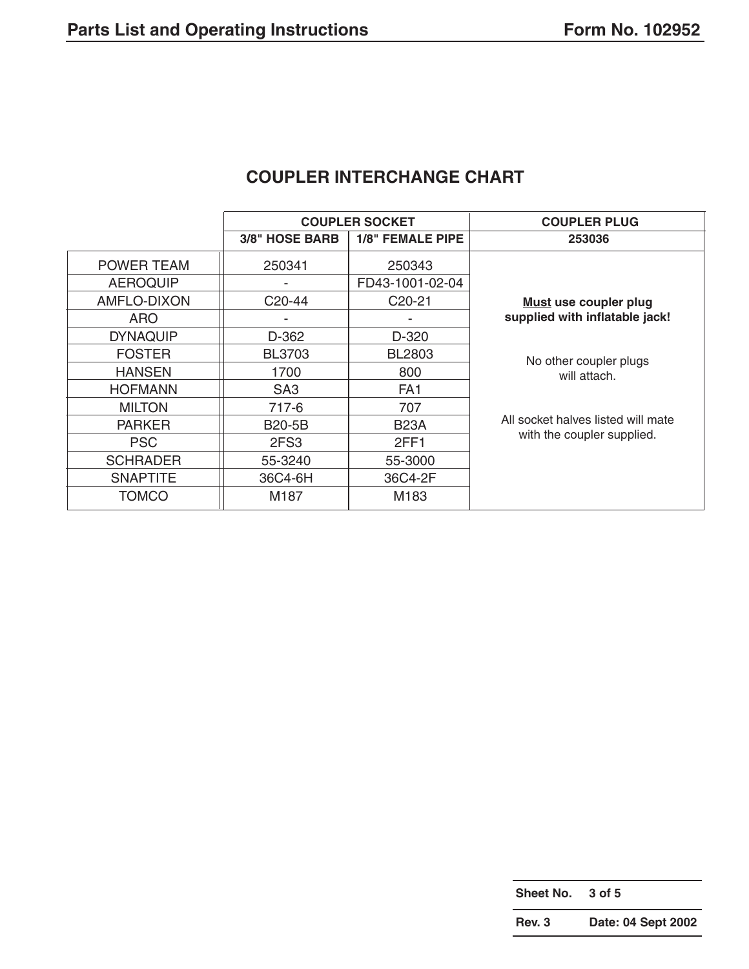|                       |                     | <b>COUPLER SOCKET</b>   | <b>COUPLER PLUG</b>                |
|-----------------------|---------------------|-------------------------|------------------------------------|
|                       | 3/8" HOSE BARB      | <b>1/8" FEMALE PIPE</b> | 253036                             |
| <b>POWER TEAM</b>     | 250341              | 250343                  |                                    |
| <b>AEROQUIP</b>       |                     | FD43-1001-02-04         |                                    |
| AMFLO-DIXON           | C <sub>20</sub> -44 | C <sub>20</sub> -21     | <b>Must use coupler plug</b>       |
| <b>ARO</b>            |                     | -                       | supplied with inflatable jack!     |
| <b>DYNAQUIP</b>       | D-362               | D-320                   |                                    |
| <b>FOSTER</b>         | <b>BL3703</b>       | BL2803                  | No other coupler plugs             |
| <b>HANSEN</b><br>1700 |                     | 800                     | will attach.                       |
| <b>HOFMANN</b>        | SA <sub>3</sub>     | FA <sub>1</sub>         |                                    |
| <b>MILTON</b>         | 717-6               | 707                     |                                    |
| <b>PARKER</b>         | <b>B20-5B</b>       | <b>B23A</b>             | All socket halves listed will mate |
| <b>PSC</b>            | 2FS3                | 2FF1                    | with the coupler supplied.         |
| <b>SCHRADER</b>       | 55-3240             | 55-3000                 |                                    |
| <b>SNAPTITE</b>       | 36C4-6H             | 36C4-2F                 |                                    |
| <b>TOMCO</b>          | M187                | M183                    |                                    |

### **COUPLER INTERCHANGE CHART**

**Sheet No. 3 of 5**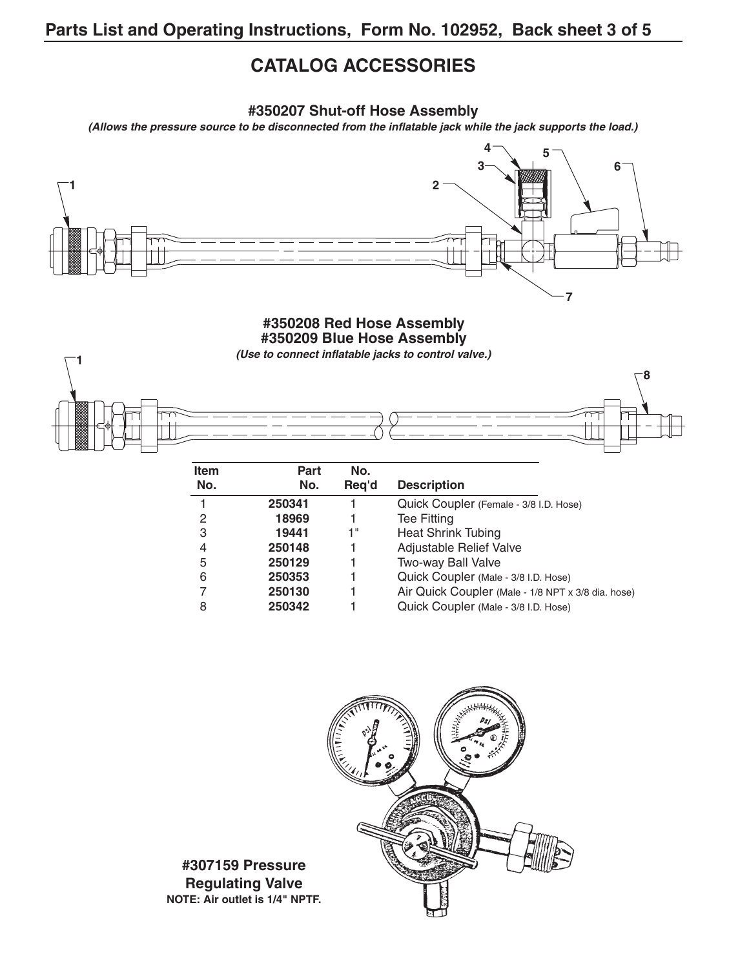## **CATALOG ACCESSORIES**

**#350207 Shut-off Hose Assembly**

**(Allows the pressure source to be disconnected from the inflatable jack while the jack supports the load.)**



#### **#350208 Red Hose Assembly #350209 Blue Hose Assembly**

**(Use to connect inflatable jacks to control valve.)**



| <b>Item</b> | Part   | No.   |                                                    |
|-------------|--------|-------|----------------------------------------------------|
| No.         | No.    | Reg'd | <b>Description</b>                                 |
|             | 250341 |       | Quick Coupler (Female - 3/8 I.D. Hose)             |
| 2           | 18969  |       | <b>Tee Fitting</b>                                 |
| 3           | 19441  | 1"    | <b>Heat Shrink Tubing</b>                          |
| 4           | 250148 |       | Adjustable Relief Valve                            |
| 5           | 250129 |       | Two-way Ball Valve                                 |
| 6           | 250353 |       | Quick Coupler (Male - 3/8 I.D. Hose)               |
|             | 250130 |       | Air Quick Coupler (Male - 1/8 NPT x 3/8 dia. hose) |
| 8           | 250342 |       | Quick Coupler (Male - 3/8 I.D. Hose)               |



**#307159 Pressure Regulating Valve NOTE: Air outlet is 1/4" NPTF.**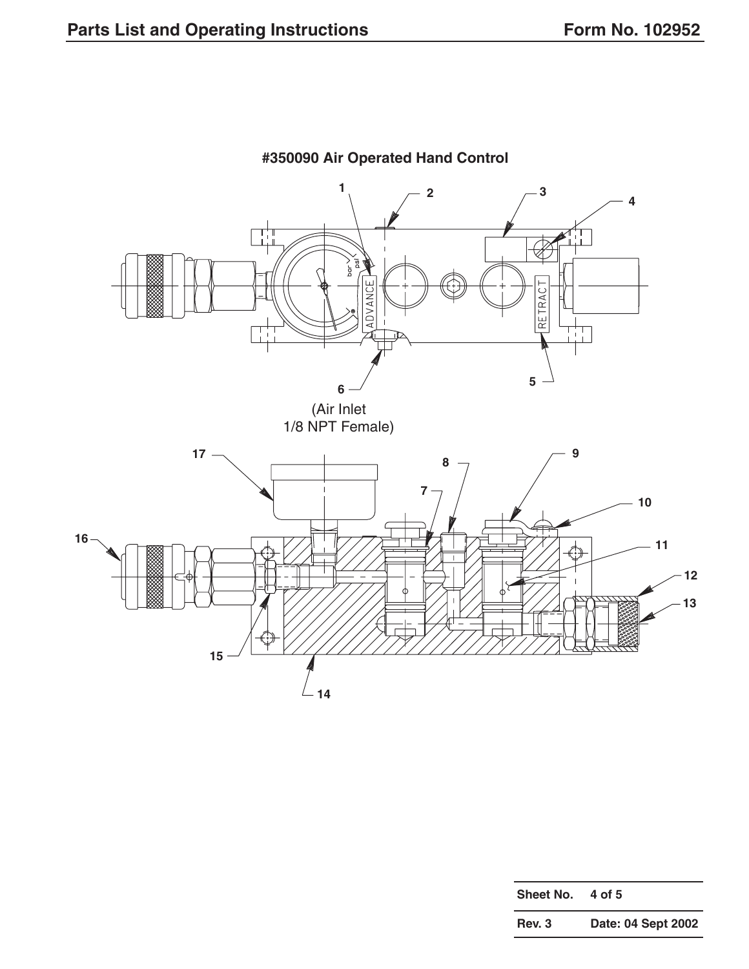

**#350090 Air Operated Hand Control**

| Sheet No. | 4 of 5             |
|-----------|--------------------|
| Rev. 3    | Date: 04 Sept 2002 |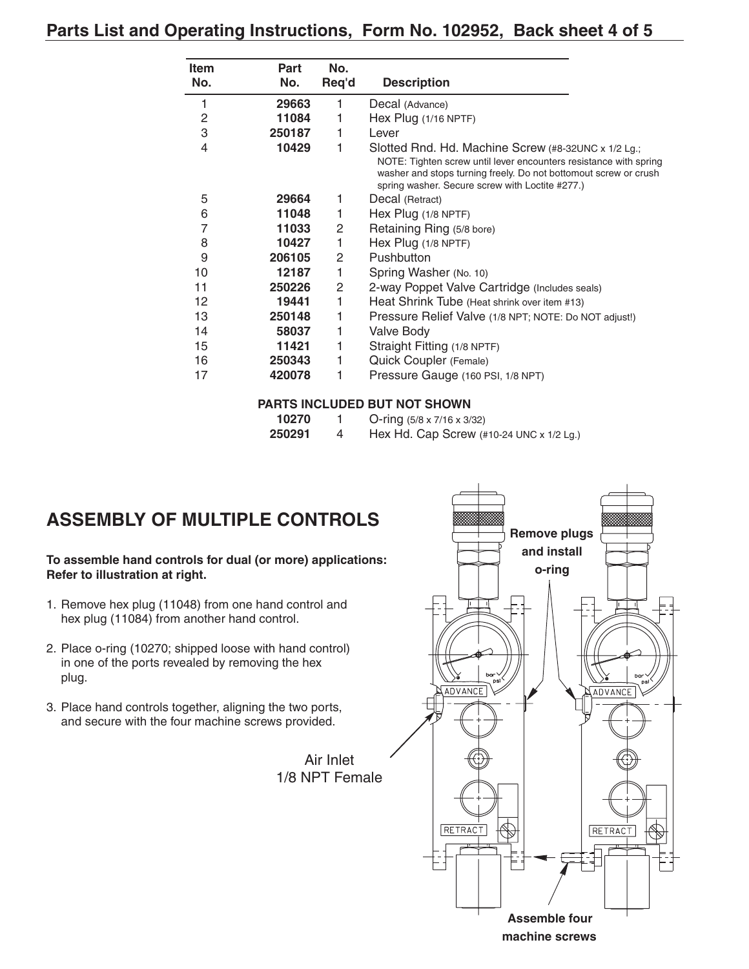#### **Parts List and Operating Instructions, Form No. 102952, Back sheet 4 of 5**

| <b>Item</b> | <b>Part</b> | No.   |                                                                                                                                                                                                                                                 |
|-------------|-------------|-------|-------------------------------------------------------------------------------------------------------------------------------------------------------------------------------------------------------------------------------------------------|
| No.         | No.         | Req'd | <b>Description</b>                                                                                                                                                                                                                              |
| 1           | 29663       | 1     | Decal (Advance)                                                                                                                                                                                                                                 |
| 2           | 11084       | 1     | Hex Plug (1/16 NPTF)                                                                                                                                                                                                                            |
| 3           | 250187      | 1     | Lever                                                                                                                                                                                                                                           |
| 4           | 10429       | 1     | Slotted Rnd. Hd. Machine Screw (#8-32UNC x 1/2 Lg.;<br>NOTE: Tighten screw until lever encounters resistance with spring<br>washer and stops turning freely. Do not bottomout screw or crush<br>spring washer. Secure screw with Loctite #277.) |
| 5           | 29664       | 1     | Decal (Retract)                                                                                                                                                                                                                                 |
| 6           | 11048       | 1     | Hex Plug (1/8 NPTF)                                                                                                                                                                                                                             |
| 7           | 11033       | 2     | Retaining Ring (5/8 bore)                                                                                                                                                                                                                       |
| 8           | 10427       | 1     | Hex Plug (1/8 NPTF)                                                                                                                                                                                                                             |
| 9           | 206105      | 2     | Pushbutton                                                                                                                                                                                                                                      |
| 10          | 12187       | 1     | Spring Washer (No. 10)                                                                                                                                                                                                                          |
| 11          | 250226      | 2     | 2-way Poppet Valve Cartridge (Includes seals)                                                                                                                                                                                                   |
| 12          | 19441       | 1     | Heat Shrink Tube (Heat shrink over item #13)                                                                                                                                                                                                    |
| 13          | 250148      | 1     | Pressure Relief Valve (1/8 NPT; NOTE: Do NOT adjust!)                                                                                                                                                                                           |
| 14          | 58037       | 1     | Valve Body                                                                                                                                                                                                                                      |
| 15          | 11421       | 1     | Straight Fitting (1/8 NPTF)                                                                                                                                                                                                                     |
| 16          | 250343      | 1     | Quick Coupler (Female)                                                                                                                                                                                                                          |
| 17          | 420078      | 1     | Pressure Gauge (160 PSI, 1/8 NPT)                                                                                                                                                                                                               |

#### **PARTS INCLUDED BUT NOT SHOWN**

| 10270  | O-ring $(5/8 \times 7/16 \times 3/32)$                           |
|--------|------------------------------------------------------------------|
| 250291 | Hex Hd. Cap Screw $(\#10-24 \text{ UNC} \times 1/2 \text{ Lg.})$ |

# **ASSEMBLY OF MULTIPLE CONTROLS**

**To assemble hand controls for dual (or more) applications: Refer to illustration at right.**

- 1. Remove hex plug (11048) from one hand control and hex plug (11084) from another hand control.
- 2. Place o-ring (10270; shipped loose with hand control) in one of the ports revealed by removing the hex plug.
- 3. Place hand controls together, aligning the two ports, and secure with the four machine screws provided.



Air Inlet 1/8 NPT Female